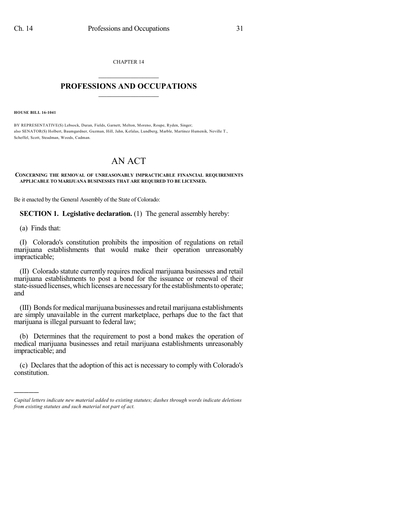CHAPTER 14  $\mathcal{L}_\text{max}$  . The set of the set of the set of the set of the set of the set of the set of the set of the set of the set of the set of the set of the set of the set of the set of the set of the set of the set of the set

## **PROFESSIONS AND OCCUPATIONS**  $\frac{1}{2}$  ,  $\frac{1}{2}$  ,  $\frac{1}{2}$  ,  $\frac{1}{2}$  ,  $\frac{1}{2}$  ,  $\frac{1}{2}$  ,  $\frac{1}{2}$

**HOUSE BILL 16-1041**

BY REPRESENTATIVE(S) Lebsock, Duran, Fields, Garnett, Melton, Moreno, Roupe, Ryden, Singer; also SENATOR(S) Holbert, Baumgardner, Guzman, Hill, Jahn, Kefalas, Lundberg, Marble, Martinez Humenik, Neville T., Scheffel, Scott, Steadman, Woods, Cadman.

## AN ACT

## **CONCERNING THE REMOVAL OF UNREASONABLY IMPRACTICABLE FINANCIAL REQUIREMENTS APPLICABLE TO MARIJUANA BUSINESSES THAT ARE REQUIRED TO BE LICENSED.**

Be it enacted by the General Assembly of the State of Colorado:

**SECTION 1. Legislative declaration.** (1) The general assembly hereby:

(a) Finds that:

)))))

(I) Colorado's constitution prohibits the imposition of regulations on retail marijuana establishments that would make their operation unreasonably impracticable;

(II) Colorado statute currently requires medical marijuana businesses and retail marijuana establishments to post a bond for the issuance or renewal of their state-issued licenses, which licenses are necessary for the establishments to operate; and

(III) Bondsformedicalmarijuana businesses and retailmarijuana establishments are simply unavailable in the current marketplace, perhaps due to the fact that marijuana is illegal pursuant to federal law;

(b) Determines that the requirement to post a bond makes the operation of medical marijuana businesses and retail marijuana establishments unreasonably impracticable; and

(c) Declares that the adoption of this act is necessary to comply with Colorado's constitution.

*Capital letters indicate new material added to existing statutes; dashes through words indicate deletions from existing statutes and such material not part of act.*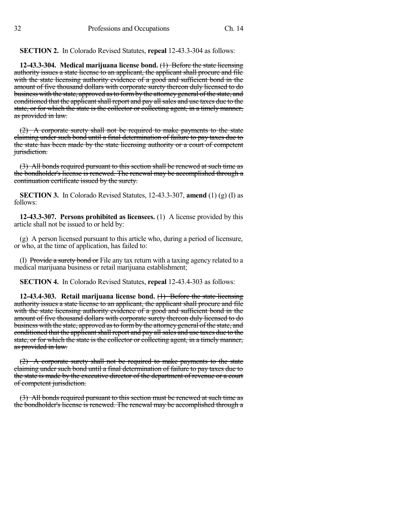**SECTION 2.** In Colorado Revised Statutes, **repeal** 12-43.3-304 as follows:

**12-43.3-304. Medical marijuana license bond.** (1) Before the state licensing authority issues a state license to an applicant, the applicant shall procure and file with the state licensing authority evidence of a good and sufficient bond in the amount of five thousand dollars with corporate surety thereon duly licensed to do business with the state, approved as to form by the attorney general of the state, and conditioned that the applicant shall report and pay all sales and use taxes due to the state, or for which the state is the collector or collecting agent, in a timely manner, as provided in law.

(2) A corporate surety shall not be required to make payments to the state claiming under such bond until a final determination of failure to pay taxes due to the state has been made by the state licensing authority or a court of competent jurisdiction.

(3) All bonds required pursuant to this section shall be renewed at such time as the bondholder's license is renewed. The renewal may be accomplished through a continuation certificate issued by the surety.

**SECTION 3.** In Colorado Revised Statutes, 12-43.3-307, **amend** (1) (g) (I) as follows:

**12-43.3-307. Persons prohibited as licensees.** (1) A license provided by this article shall not be issued to or held by:

(g) A person licensed pursuant to this article who, during a period of licensure, or who, at the time of application, has failed to:

(I) Provide a surety bond or File any tax return with a taxing agency related to a medical marijuana business or retail marijuana establishment;

**SECTION 4.** In Colorado Revised Statutes, **repeal** 12-43.4-303 as follows:

**12-43.4-303. Retail marijuana license bond.** (1) Before the state licensing authority issues a state license to an applicant, the applicant shall procure and file with the state licensing authority evidence of a good and sufficient bond in the amount of five thousand dollars with corporate surety thereon duly licensed to do business with the state, approved as to form by the attorney general of the state, and conditioned that the applicant shall report and pay all sales and use taxes due to the state, or for which the state is the collector or collecting agent, in a timely manner, as provided in law.

(2) A corporate surety shall not be required to make payments to the state claiming under such bond until a final determination of failure to pay taxes due to the state is made by the executive director of the department of revenue or a court of competent jurisdiction.

(3) All bonds required pursuant to this section must be renewed at such time as the bondholder's license is renewed. The renewal may be accomplished through a